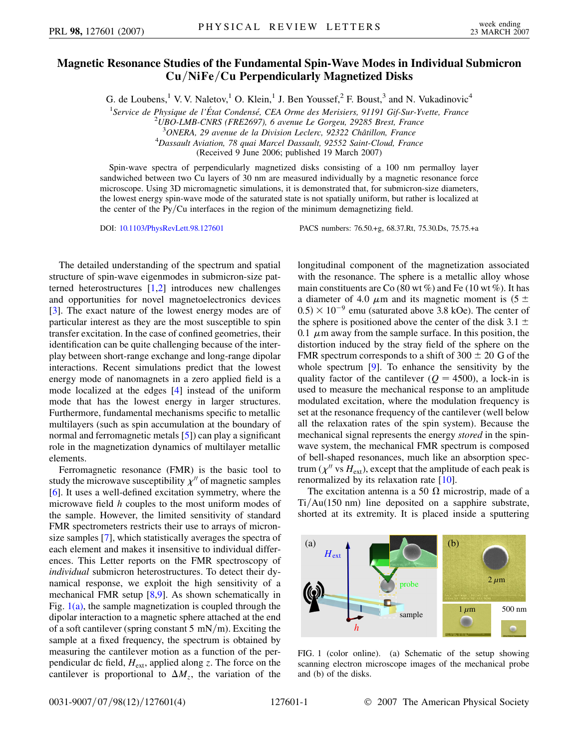## **Magnetic Resonance Studies of the Fundamental Spin-Wave Modes in Individual Submicron Cu***=***NiFe***=***Cu Perpendicularly Magnetized Disks**

G. de Loubens,<sup>1</sup> V. V. Naletov,<sup>1</sup> O. Klein,<sup>1</sup> J. Ben Youssef,<sup>2</sup> F. Boust,<sup>3</sup> and N. Vukadinovic<sup>4</sup>

<sup>1</sup> Service de Physique de l'État Condensé, CEA Orme des Merisiers, 91191 Gif-Sur-Yvette, France<br><sup>2</sup>11BO J MB CNBS (EBE2607), 6 gyanue Le Gorgeu, 20285 Brest, France

*UBO-LMB-CNRS (FRE2697), 6 avenue Le Gorgeu, 29285 Brest, France*

<sup>3</sup> ONERA, 29 avenue de la Division Leclerc, 92322 Châtillon, France<br><sup>4</sup> Dassault Aviation, 78 augi Marcel Dassault, 92552 Saint Cloud, Fran

*Dassault Aviation, 78 quai Marcel Dassault, 92552 Saint-Cloud, France*

(Received 9 June 2006; published 19 March 2007)

Spin-wave spectra of perpendicularly magnetized disks consisting of a 100 nm permalloy layer sandwiched between two Cu layers of 30 nm are measured individually by a magnetic resonance force microscope. Using 3D micromagnetic simulations, it is demonstrated that, for submicron-size diameters, the lowest energy spin-wave mode of the saturated state is not spatially uniform, but rather is localized at the center of the Py/Cu interfaces in the region of the minimum demagnetizing field.

DOI: [10.1103/PhysRevLett.98.127601](http://dx.doi.org/10.1103/PhysRevLett.98.127601) PACS numbers: 76.50.+g, 68.37.Rt, 75.30.Ds, 75.75.+a

The detailed understanding of the spectrum and spatial structure of spin-wave eigenmodes in submicron-size patterned heterostructures [\[1,](#page-3-0)[2](#page-3-1)] introduces new challenges and opportunities for novel magnetoelectronics devices [\[3\]](#page-3-2). The exact nature of the lowest energy modes are of particular interest as they are the most susceptible to spin transfer excitation. In the case of confined geometries, their identification can be quite challenging because of the interplay between short-range exchange and long-range dipolar interactions. Recent simulations predict that the lowest energy mode of nanomagnets in a zero applied field is a mode localized at the edges [[4\]](#page-3-3) instead of the uniform mode that has the lowest energy in larger structures. Furthermore, fundamental mechanisms specific to metallic multilayers (such as spin accumulation at the boundary of normal and ferromagnetic metals [\[5](#page-3-4)]) can play a significant role in the magnetization dynamics of multilayer metallic elements.

Ferromagnetic resonance (FMR) is the basic tool to study the microwave susceptibility  $\chi''$  of magnetic samples [\[6\]](#page-3-5). It uses a well-defined excitation symmetry, where the microwave field *h* couples to the most uniform modes of the sample. However, the limited sensitivity of standard FMR spectrometers restricts their use to arrays of micronsize samples [\[7](#page-3-6)], which statistically averages the spectra of each element and makes it insensitive to individual differences. This Letter reports on the FMR spectroscopy of *individual* submicron heterostructures. To detect their dynamical response, we exploit the high sensitivity of a mechanical FMR setup [[8](#page-3-7)[,9\]](#page-3-8). As shown schematically in Fig.  $1(a)$ , the sample magnetization is coupled through the dipolar interaction to a magnetic sphere attached at the end of a soft cantilever (spring constant 5 mN/m). Exciting the sample at a fixed frequency, the spectrum is obtained by measuring the cantilever motion as a function of the perpendicular dc field,  $H_{ext}$ , applied along *z*. The force on the cantilever is proportional to  $\Delta M_z$ , the variation of the longitudinal component of the magnetization associated with the resonance. The sphere is a metallic alloy whose main constituents are Co (80 wt  $\%$ ) and Fe (10 wt  $\%$ ). It has a diameter of 4.0  $\mu$ m and its magnetic moment is (5  $\pm$  $(0.5) \times 10^{-9}$  emu (saturated above 3.8 kOe). The center of the sphere is positioned above the center of the disk  $3.1 \pm$ 0.1  $\mu$ m away from the sample surface. In this position, the distortion induced by the stray field of the sphere on the FMR spectrum corresponds to a shift of  $300 \pm 20$  G of the whole spectrum [[9](#page-3-8)]. To enhance the sensitivity by the quality factor of the cantilever  $(Q = 4500)$ , a lock-in is used to measure the mechanical response to an amplitude modulated excitation, where the modulation frequency is set at the resonance frequency of the cantilever (well below all the relaxation rates of the spin system). Because the mechanical signal represents the energy *stored* in the spinwave system, the mechanical FMR spectrum is composed of bell-shaped resonances, much like an absorption spectrum  $(\chi''$  vs  $H_{ext}$ ), except that the amplitude of each peak is renormalized by its relaxation rate [\[10\]](#page-3-9).

The excitation antenna is a 50  $\Omega$  microstrip, made of a Ti/Au(150 nm) line deposited on a sapphire substrate, shorted at its extremity. It is placed inside a sputtering



<span id="page-0-0"></span>FIG. 1 (color online). (a) Schematic of the setup showing scanning electron microscope images of the mechanical probe and (b) of the disks.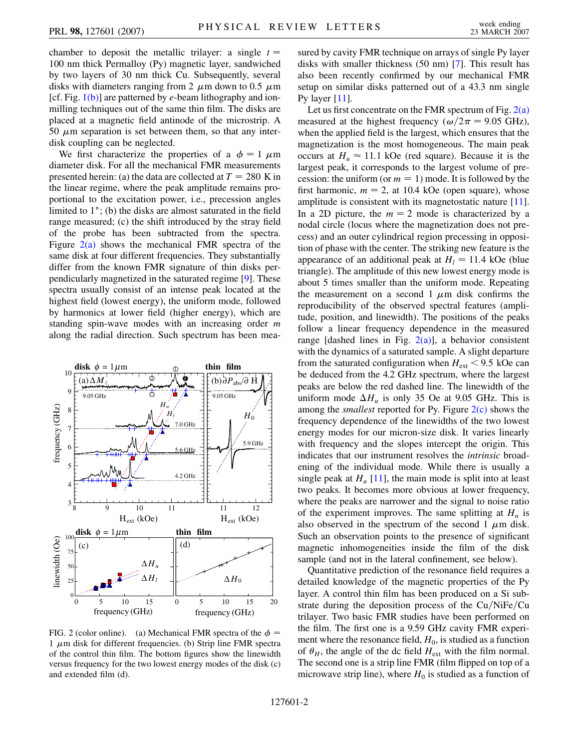chamber to deposit the metallic trilayer: a single  $t =$ 100 nm thick Permalloy (Py) magnetic layer, sandwiched by two layers of 30 nm thick Cu. Subsequently, several disks with diameters ranging from 2  $\mu$ m down to 0.5  $\mu$ m [cf. Fig. [1\(b\)](#page-0-0)] are patterned by *e*-beam lithography and ionmilling techniques out of the same thin film. The disks are placed at a magnetic field antinode of the microstrip. A  $50 \mu$ m separation is set between them, so that any interdisk coupling can be neglected.

We first characterize the properties of a  $\phi = 1 \mu m$ diameter disk. For all the mechanical FMR measurements presented herein: (a) the data are collected at  $T = 280$  K in the linear regime, where the peak amplitude remains proportional to the excitation power, i.e., precession angles limited to  $1^\circ$ ; (b) the disks are almost saturated in the field range measured; (c) the shift introduced by the stray field of the probe has been subtracted from the spectra. Figure  $2(a)$  shows the mechanical FMR spectra of the same disk at four different frequencies. They substantially differ from the known FMR signature of thin disks perpendicularly magnetized in the saturated regime [\[9\]](#page-3-8). These spectra usually consist of an intense peak located at the highest field (lowest energy), the uniform mode, followed by harmonics at lower field (higher energy), which are standing spin-wave modes with an increasing order *m* along the radial direction. Such spectrum has been mea-

<span id="page-1-1"></span>

<span id="page-1-0"></span>FIG. 2 (color online). (a) Mechanical FMR spectra of the  $\phi =$  $1 \mu$ m disk for different frequencies. (b) Strip line FMR spectra of the control thin film. The bottom figures show the linewidth versus frequency for the two lowest energy modes of the disk (c) and extended film (d).

sured by cavity FMR technique on arrays of single Py layer disks with smaller thickness (50 nm) [[7\]](#page-3-6). This result has also been recently confirmed by our mechanical FMR setup on similar disks patterned out of a 43.3 nm single Py layer  $[11]$  $[11]$ .

Let us first concentrate on the FMR spectrum of Fig.  $2(a)$ measured at the highest frequency ( $\omega/2\pi = 9.05$  GHz), when the applied field is the largest, which ensures that the magnetization is the most homogeneous. The main peak occurs at  $H_u \approx 11.1$  kOe (red square). Because it is the largest peak, it corresponds to the largest volume of precession: the uniform (or  $m = 1$ ) mode. It is followed by the first harmonic,  $m = 2$ , at 10.4 kOe (open square), whose amplitude is consistent with its magnetostatic nature [[11\]](#page-3-10). In a 2D picture, the  $m = 2$  mode is characterized by a nodal circle (locus where the magnetization does not precess) and an outer cylindrical region precessing in opposition of phase with the center. The striking new feature is the appearance of an additional peak at  $H_l = 11.4$  kOe (blue triangle). The amplitude of this new lowest energy mode is about 5 times smaller than the uniform mode. Repeating the measurement on a second  $1 \mu m$  disk confirms the reproducibility of the observed spectral features (amplitude, position, and linewidth). The positions of the peaks follow a linear frequency dependence in the measured range [dashed lines in Fig.  $2(a)$ ], a behavior consistent with the dynamics of a saturated sample. A slight departure from the saturated configuration when  $H_{ext}$  < 9.5 kOe can be deduced from the 4.2 GHz spectrum, where the largest peaks are below the red dashed line. The linewidth of the uniform mode  $\Delta H_u$  is only 35 Oe at 9.05 GHz. This is among the *smallest* reported for Py. Figure [2\(c\)](#page-1-0) shows the frequency dependence of the linewidths of the two lowest energy modes for our micron-size disk. It varies linearly with frequency and the slopes intercept the origin. This indicates that our instrument resolves the *intrinsic* broadening of the individual mode. While there is usually a single peak at  $H_u$  [\[11](#page-3-10)], the main mode is split into at least two peaks. It becomes more obvious at lower frequency, where the peaks are narrower and the signal to noise ratio of the experiment improves. The same splitting at  $H_u$  is also observed in the spectrum of the second  $1 \mu m$  disk. Such an observation points to the presence of significant magnetic inhomogeneities inside the film of the disk sample (and not in the lateral confinement, see below).

Quantitative prediction of the resonance field requires a detailed knowledge of the magnetic properties of the Py layer. A control thin film has been produced on a Si substrate during the deposition process of the Cu/NiFe/Cu trilayer. Two basic FMR studies have been performed on the film. The first one is a 9.59 GHz cavity FMR experiment where the resonance field,  $H_0$ , is studied as a function of  $\theta_H$ , the angle of the dc field  $H_{ext}$  with the film normal. The second one is a strip line FMR (film flipped on top of a microwave strip line), where  $H_0$  is studied as a function of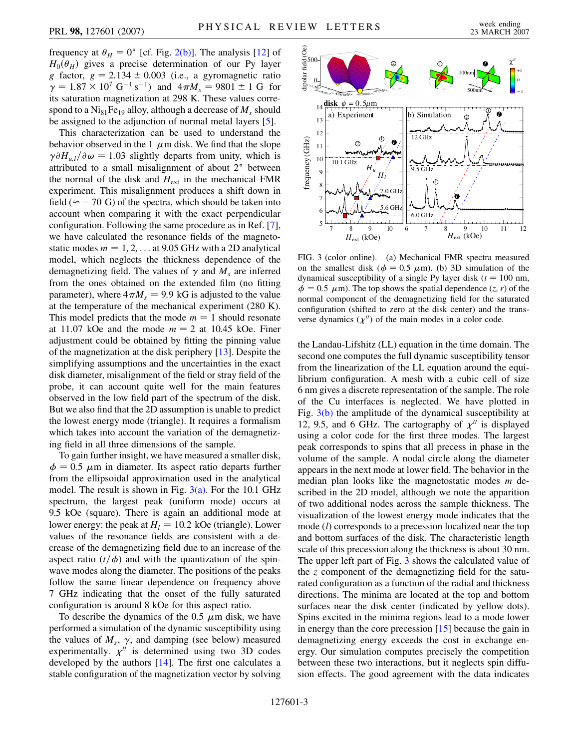frequency at  $\theta_H = 0^\circ$  [cf. Fig. [2\(b\)](#page-1-0)]. The analysis [\[12\]](#page-3-11) of  $H_0(\theta_H)$  gives a precise determination of our Py layer *g* factor,  $g = 2.134 \pm 0.003$  (i.e., a gyromagnetic ratio  $\gamma = 1.87 \times 10^7 \text{ G}^{-1} \text{ s}^{-1}$  and  $4\pi M_s = 9801 \pm 1 \text{ G}$  for its saturation magnetization at 298 K. These values correspond to a  $Ni<sub>81</sub>Fe<sub>19</sub>$  alloy, although a decrease of  $M<sub>s</sub>$  should be assigned to the adjunction of normal metal layers [[5](#page-3-4)].

This characterization can be used to understand the behavior observed in the  $1 \mu m$  disk. We find that the slope  $\gamma \partial H_{u,l}/\partial \omega = 1.03$  slightly departs from unity, which is attributed to a small misalignment of about 2° between the normal of the disk and  $H_{ext}$  in the mechanical FMR experiment. This misalignment produces a shift down in field ( $\approx$  - 70 G) of the spectra, which should be taken into account when comparing it with the exact perpendicular configuration. Following the same procedure as in Ref. [[7\]](#page-3-6), we have calculated the resonance fields of the magnetostatic modes  $m = 1, 2, \ldots$  at 9.05 GHz with a 2D analytical model, which neglects the thickness dependence of the demagnetizing field. The values of  $\gamma$  and  $M<sub>s</sub>$  are inferred from the ones obtained on the extended film (no fitting parameter), where  $4\pi M_s = 9.9$  kG is adjusted to the value at the temperature of the mechanical experiment (280 K). This model predicts that the mode  $m = 1$  should resonate at 11.07 kOe and the mode  $m = 2$  at 10.45 kOe. Finer adjustment could be obtained by fitting the pinning value of the magnetization at the disk periphery [[13](#page-3-12)]. Despite the simplifying assumptions and the uncertainties in the exact disk diameter, misalignment of the field or stray field of the probe, it can account quite well for the main features observed in the low field part of the spectrum of the disk. But we also find that the 2D assumption is unable to predict the lowest energy mode (triangle). It requires a formalism which takes into account the variation of the demagnetizing field in all three dimensions of the sample.

To gain further insight, we have measured a smaller disk,  $\phi = 0.5$   $\mu$ m in diameter. Its aspect ratio departs further from the ellipsoidal approximation used in the analytical model. The result is shown in Fig.  $3(a)$ . For the 10.1 GHz spectrum, the largest peak (uniform mode) occurs at 9.5 kOe (square). There is again an additional mode at lower energy: the peak at  $H_l = 10.2$  kOe (triangle). Lower values of the resonance fields are consistent with a decrease of the demagnetizing field due to an increase of the aspect ratio  $(t/\phi)$  and with the quantization of the spinwave modes along the diameter. The positions of the peaks follow the same linear dependence on frequency above 7 GHz indicating that the onset of the fully saturated configuration is around 8 kOe for this aspect ratio.

To describe the dynamics of the 0.5  $\mu$ m disk, we have performed a simulation of the dynamic susceptibility using the values of  $M_s$ ,  $\gamma$ , and damping (see below) measured experimentally.  $\chi^{\prime\prime}$  is determined using two 3D codes developed by the authors [[14](#page-3-13)]. The first one calculates a stable configuration of the magnetization vector by solving

<span id="page-2-1"></span>

<span id="page-2-0"></span>FIG. 3 (color online). (a) Mechanical FMR spectra measured on the smallest disk ( $\phi = 0.5 \mu$ m). (b) 3D simulation of the dynamical susceptibility of a single Py layer disk  $(t = 100 \text{ nm},$  $\phi = 0.5 \mu$ m). The top shows the spatial dependence  $(z, r)$  of the normal component of the demagnetizing field for the saturated configuration (shifted to zero at the disk center) and the transverse dynamics  $(\chi'')$  of the main modes in a color code.

the Landau-Lifshitz (LL) equation in the time domain. The second one computes the full dynamic susceptibility tensor from the linearization of the LL equation around the equilibrium configuration. A mesh with a cubic cell of size 6 nm gives a discrete representation of the sample. The role of the Cu interfaces is neglected. We have plotted in Fig. [3\(b\)](#page-2-0) the amplitude of the dynamical susceptibility at 12, 9.5, and 6 GHz. The cartography of  $\chi''$  is displayed using a color code for the first three modes. The largest peak corresponds to spins that all precess in phase in the volume of the sample. A nodal circle along the diameter appears in the next mode at lower field. The behavior in the median plan looks like the magnetostatic modes *m* described in the 2D model, although we note the apparition of two additional nodes across the sample thickness. The visualization of the lowest energy mode indicates that the mode (*l*) corresponds to a precession localized near the top and bottom surfaces of the disk. The characteristic length scale of this precession along the thickness is about 30 nm. The upper left part of Fig. [3](#page-2-1) shows the calculated value of the *z* component of the demagnetizing field for the saturated configuration as a function of the radial and thickness directions. The minima are located at the top and bottom surfaces near the disk center (indicated by yellow dots). Spins excited in the minima regions lead to a mode lower in energy than the core precession [[15](#page-3-14)] because the gain in demagnetizing energy exceeds the cost in exchange energy. Our simulation computes precisely the competition between these two interactions, but it neglects spin diffusion effects. The good agreement with the data indicates